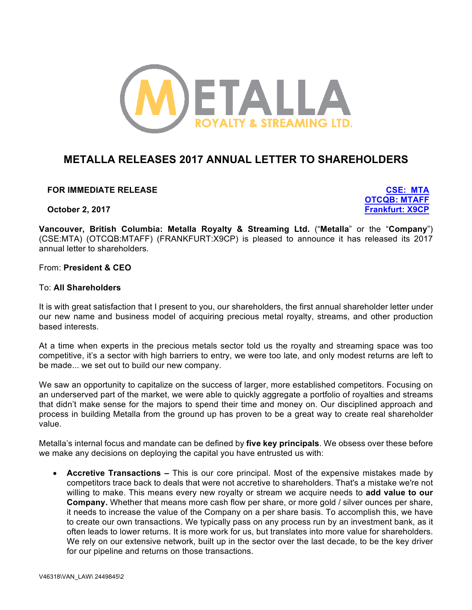

# **METALLA RELEASES 2017 ANNUAL LETTER TO SHAREHOLDERS**

**FOR IMMEDIATE RELEASE CSE: MTA**

**October 2, 2017 Frankfurt: X9CP**

**OTCQB: MTAFF**

**Vancouver, British Columbia: Metalla Royalty & Streaming Ltd.** ("**Metalla**" or the "**Company**") (CSE:MTA) (OTCQB:MTAFF) (FRANKFURT:X9CP) is pleased to announce it has released its 2017 annual letter to shareholders.

### From: **President & CEO**

### To: **All Shareholders**

It is with great satisfaction that I present to you, our shareholders, the first annual shareholder letter under our new name and business model of acquiring precious metal royalty, streams, and other production based interests.

At a time when experts in the precious metals sector told us the royalty and streaming space was too competitive, it's a sector with high barriers to entry, we were too late, and only modest returns are left to be made... we set out to build our new company.

We saw an opportunity to capitalize on the success of larger, more established competitors. Focusing on an underserved part of the market, we were able to quickly aggregate a portfolio of royalties and streams that didn't make sense for the majors to spend their time and money on. Our disciplined approach and process in building Metalla from the ground up has proven to be a great way to create real shareholder value.

Metalla's internal focus and mandate can be defined by **five key principals**. We obsess over these before we make any decisions on deploying the capital you have entrusted us with:

• **Accretive Transactions –** This is our core principal. Most of the expensive mistakes made by competitors trace back to deals that were not accretive to shareholders. That's a mistake we're not willing to make. This means every new royalty or stream we acquire needs to **add value to our Company.** Whether that means more cash flow per share, or more gold / silver ounces per share, it needs to increase the value of the Company on a per share basis. To accomplish this, we have to create our own transactions. We typically pass on any process run by an investment bank, as it often leads to lower returns. It is more work for us, but translates into more value for shareholders. We rely on our extensive network, built up in the sector over the last decade, to be the key driver for our pipeline and returns on those transactions.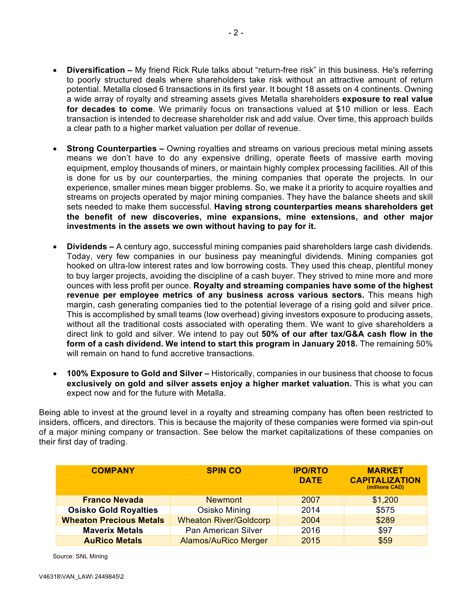- **Diversification –** My friend Rick Rule talks about "return-free risk" in this business. He's referring to poorly structured deals where shareholders take risk without an attractive amount of return potential. Metalla closed 6 transactions in its first year. It bought 18 assets on 4 continents. Owning a wide array of royalty and streaming assets gives Metalla shareholders **exposure to real value for decades to come**. We primarily focus on transactions valued at \$10 million or less. Each transaction is intended to decrease shareholder risk and add value. Over time, this approach builds a clear path to a higher market valuation per dollar of revenue.
- **Strong Counterparties –** Owning royalties and streams on various precious metal mining assets means we don't have to do any expensive drilling, operate fleets of massive earth moving equipment, employ thousands of miners, or maintain highly complex processing facilities. All of this is done for us by our counterparties, the mining companies that operate the projects. In our experience, smaller mines mean bigger problems. So, we make it a priority to acquire royalties and streams on projects operated by major mining companies. They have the balance sheets and skill sets needed to make them successful. **Having strong counterparties means shareholders get the benefit of new discoveries, mine expansions, mine extensions, and other major investments in the assets we own without having to pay for it.**
- **Dividends –** A century ago, successful mining companies paid shareholders large cash dividends. Today, very few companies in our business pay meaningful dividends. Mining companies got hooked on ultra-low interest rates and low borrowing costs. They used this cheap, plentiful money to buy larger projects, avoiding the discipline of a cash buyer. They strived to mine more and more ounces with less profit per ounce. **Royalty and streaming companies have some of the highest revenue per employee metrics of any business across various sectors.** This means high margin, cash generating companies tied to the potential leverage of a rising gold and silver price. This is accomplished by small teams (low overhead) giving investors exposure to producing assets, without all the traditional costs associated with operating them. We want to give shareholders a direct link to gold and silver. We intend to pay out **50% of our after tax/G&A cash flow in the form of a cash dividend. We intend to start this program in January 2018.** The remaining 50% will remain on hand to fund accretive transactions.
- **100% Exposure to Gold and Silver –** Historically, companies in our business that choose to focus **exclusively on gold and silver assets enjoy a higher market valuation.** This is what you can expect now and for the future with Metalla.

Being able to invest at the ground level in a royalty and streaming company has often been restricted to insiders, officers, and directors. This is because the majority of these companies were formed via spin-out of a major mining company or transaction. See below the market capitalizations of these companies on their first day of trading.

| <b>COMPANY</b>                 | <b>SPIN CO</b>                | <b>IPO/RTO</b><br><b>DATE</b> | <b>MARKET</b><br><b>CAPITALIZATION</b><br>(millions CAD) |
|--------------------------------|-------------------------------|-------------------------------|----------------------------------------------------------|
| <b>Franco Nevada</b>           | <b>Newmont</b>                | 2007                          | \$1,200                                                  |
| <b>Osisko Gold Royalties</b>   | Osisko Mining                 | 2014                          | \$575                                                    |
| <b>Wheaton Precious Metals</b> | <b>Wheaton River/Goldcorp</b> | 2004                          | \$289                                                    |
| <b>Maverix Metals</b>          | Pan American Silver           | 2016                          | \$97                                                     |
| <b>AuRico Metals</b>           | <b>Alamos/AuRico Merger</b>   | 2015                          | \$59                                                     |

Source: SNL Mining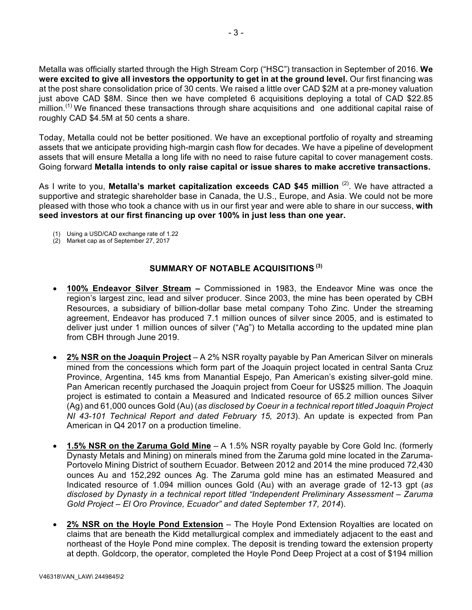Metalla was officially started through the High Stream Corp ("HSC") transaction in September of 2016. **We were excited to give all investors the opportunity to get in at the ground level.** Our first financing was at the post share consolidation price of 30 cents. We raised a little over CAD \$2M at a pre-money valuation just above CAD \$8M. Since then we have completed 6 acquisitions deploying a total of CAD \$22.85 million.<sup>(1)</sup> We financed these transactions through share acquisitions and one additional capital raise of roughly CAD \$4.5M at 50 cents a share.

Today, Metalla could not be better positioned. We have an exceptional portfolio of royalty and streaming assets that we anticipate providing high-margin cash flow for decades. We have a pipeline of development assets that will ensure Metalla a long life with no need to raise future capital to cover management costs. Going forward **Metalla intends to only raise capital or issue shares to make accretive transactions.**

As I write to you, **Metalla's market capitalization exceeds CAD \$45 million** <sup>(2)</sup>. We have attracted a supportive and strategic shareholder base in Canada, the U.S., Europe, and Asia. We could not be more pleased with those who took a chance with us in our first year and were able to share in our success, **with seed investors at our first financing up over 100% in just less than one year.**

- (1) Using a USD/CAD exchange rate of 1.22
- (2) Market cap as of September 27, 2017

# **SUMMARY OF NOTABLE ACQUISITIONS (3)**

- **100% Endeavor Silver Stream –** Commissioned in 1983, the Endeavor Mine was once the region's largest zinc, lead and silver producer. Since 2003, the mine has been operated by CBH Resources, a subsidiary of billion-dollar base metal company Toho Zinc. Under the streaming agreement, Endeavor has produced 7.1 million ounces of silver since 2005, and is estimated to deliver just under 1 million ounces of silver ("Ag") to Metalla according to the updated mine plan from CBH through June 2019.
- **2% NSR on the Joaquin Project** A 2% NSR royalty payable by Pan American Silver on minerals mined from the concessions which form part of the Joaquin project located in central Santa Cruz Province, Argentina, 145 kms from Manantial Espejo, Pan American's existing silver-gold mine. Pan American recently purchased the Joaquin project from Coeur for US\$25 million. The Joaquin project is estimated to contain a Measured and Indicated resource of 65.2 million ounces Silver (Ag) and 61,000 ounces Gold (Au) (*as disclosed by Coeur in a technical report titled Joaquin Project NI 43-101 Technical Report and dated February 15, 2013*). An update is expected from Pan American in Q4 2017 on a production timeline.
- **1.5% NSR on the Zaruma Gold Mine** A 1.5% NSR royalty payable by Core Gold Inc. (formerly Dynasty Metals and Mining) on minerals mined from the Zaruma gold mine located in the Zaruma-Portovelo Mining District of southern Ecuador. Between 2012 and 2014 the mine produced 72,430 ounces Au and 152,292 ounces Ag. The Zaruma gold mine has an estimated Measured and Indicated resource of 1.094 million ounces Gold (Au) with an average grade of 12-13 gpt (*as disclosed by Dynasty in a technical report titled "Independent Preliminary Assessment – Zaruma Gold Project – El Oro Province, Ecuador" and dated September 17, 2014*).
- **2% NSR on the Hoyle Pond Extension** The Hoyle Pond Extension Royalties are located on claims that are beneath the Kidd metallurgical complex and immediately adjacent to the east and northeast of the Hoyle Pond mine complex. The deposit is trending toward the extension property at depth. Goldcorp, the operator, completed the Hoyle Pond Deep Project at a cost of \$194 million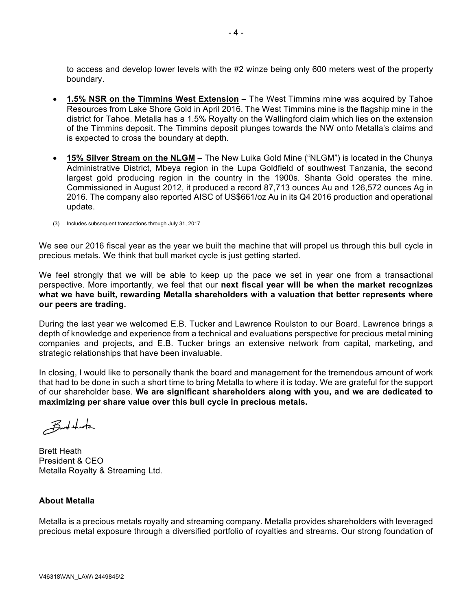to access and develop lower levels with the #2 winze being only 600 meters west of the property boundary.

- **1.5% NSR on the Timmins West Extension** The West Timmins mine was acquired by Tahoe Resources from Lake Shore Gold in April 2016. The West Timmins mine is the flagship mine in the district for Tahoe. Metalla has a 1.5% Royalty on the Wallingford claim which lies on the extension of the Timmins deposit. The Timmins deposit plunges towards the NW onto Metalla's claims and is expected to cross the boundary at depth.
- **15% Silver Stream on the NLGM** The New Luika Gold Mine ("NLGM") is located in the Chunya Administrative District, Mbeya region in the Lupa Goldfield of southwest Tanzania, the second largest gold producing region in the country in the 1900s. Shanta Gold operates the mine. Commissioned in August 2012, it produced a record 87,713 ounces Au and 126,572 ounces Ag in 2016. The company also reported AISC of US\$661/oz Au in its Q4 2016 production and operational update.
- (3) Includes subsequent transactions through July 31, 2017

We see our 2016 fiscal year as the year we built the machine that will propel us through this bull cycle in precious metals. We think that bull market cycle is just getting started.

We feel strongly that we will be able to keep up the pace we set in year one from a transactional perspective. More importantly, we feel that our **next fiscal year will be when the market recognizes what we have built, rewarding Metalla shareholders with a valuation that better represents where our peers are trading.**

During the last year we welcomed E.B. Tucker and Lawrence Roulston to our Board. Lawrence brings a depth of knowledge and experience from a technical and evaluations perspective for precious metal mining companies and projects, and E.B. Tucker brings an extensive network from capital, marketing, and strategic relationships that have been invaluable.

In closing, I would like to personally thank the board and management for the tremendous amount of work that had to be done in such a short time to bring Metalla to where it is today. We are grateful for the support of our shareholder base. **We are significant shareholders along with you, and we are dedicated to maximizing per share value over this bull cycle in precious metals.**

 $B$ nt that

Brett Heath President & CEO Metalla Royalty & Streaming Ltd.

## **About Metalla**

Metalla is a precious metals royalty and streaming company. Metalla provides shareholders with leveraged precious metal exposure through a diversified portfolio of royalties and streams. Our strong foundation of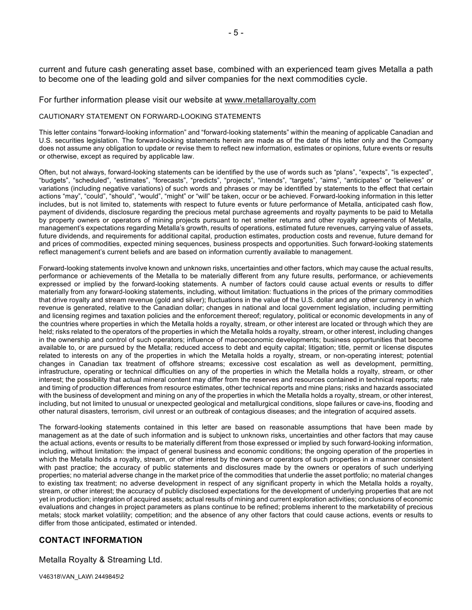current and future cash generating asset base, combined with an experienced team gives Metalla a path to become one of the leading gold and silver companies for the next commodities cycle.

#### For further information please visit our website at www.metallaroyalty.com

#### CAUTIONARY STATEMENT ON FORWARD-LOOKING STATEMENTS

This letter contains "forward-looking information" and "forward-looking statements" within the meaning of applicable Canadian and U.S. securities legislation. The forward-looking statements herein are made as of the date of this letter only and the Company does not assume any obligation to update or revise them to reflect new information, estimates or opinions, future events or results or otherwise, except as required by applicable law.

Often, but not always, forward-looking statements can be identified by the use of words such as "plans", "expects", "is expected", "budgets", "scheduled", "estimates", "forecasts", "predicts", "projects", "intends", "targets", "aims", "anticipates" or "believes" or variations (including negative variations) of such words and phrases or may be identified by statements to the effect that certain actions "may", "could", "should", "would", "might" or "will" be taken, occur or be achieved. Forward-looking information in this letter includes, but is not limited to, statements with respect to future events or future performance of Metalla, anticipated cash flow, payment of dividends, disclosure regarding the precious metal purchase agreements and royalty payments to be paid to Metalla by property owners or operators of mining projects pursuant to net smelter returns and other royalty agreements of Metalla, management's expectations regarding Metalla's growth, results of operations, estimated future revenues, carrying value of assets, future dividends, and requirements for additional capital, production estimates, production costs and revenue, future demand for and prices of commodities, expected mining sequences, business prospects and opportunities. Such forward-looking statements reflect management's current beliefs and are based on information currently available to management.

Forward-looking statements involve known and unknown risks, uncertainties and other factors, which may cause the actual results, performance or achievements of the Metalla to be materially different from any future results, performance, or achievements expressed or implied by the forward-looking statements. A number of factors could cause actual events or results to differ materially from any forward-looking statements, including, without limitation: fluctuations in the prices of the primary commodities that drive royalty and stream revenue (gold and silver); fluctuations in the value of the U.S. dollar and any other currency in which revenue is generated, relative to the Canadian dollar; changes in national and local government legislation, including permitting and licensing regimes and taxation policies and the enforcement thereof; regulatory, political or economic developments in any of the countries where properties in which the Metalla holds a royalty, stream, or other interest are located or through which they are held; risks related to the operators of the properties in which the Metalla holds a royalty, stream, or other interest, including changes in the ownership and control of such operators; influence of macroeconomic developments; business opportunities that become available to, or are pursued by the Metalla; reduced access to debt and equity capital; litigation; title, permit or license disputes related to interests on any of the properties in which the Metalla holds a royalty, stream, or non-operating interest; potential changes in Canadian tax treatment of offshore streams; excessive cost escalation as well as development, permitting, infrastructure, operating or technical difficulties on any of the properties in which the Metalla holds a royalty, stream, or other interest; the possibility that actual mineral content may differ from the reserves and resources contained in technical reports; rate and timing of production differences from resource estimates, other technical reports and mine plans; risks and hazards associated with the business of development and mining on any of the properties in which the Metalla holds a royalty, stream, or other interest, including, but not limited to unusual or unexpected geological and metallurgical conditions, slope failures or cave-ins, flooding and other natural disasters, terrorism, civil unrest or an outbreak of contagious diseases; and the integration of acquired assets.

The forward-looking statements contained in this letter are based on reasonable assumptions that have been made by management as at the date of such information and is subject to unknown risks, uncertainties and other factors that may cause the actual actions, events or results to be materially different from those expressed or implied by such forward-looking information, including, without limitation: the impact of general business and economic conditions; the ongoing operation of the properties in which the Metalla holds a royalty, stream, or other interest by the owners or operators of such properties in a manner consistent with past practice; the accuracy of public statements and disclosures made by the owners or operators of such underlying properties; no material adverse change in the market price of the commodities that underlie the asset portfolio; no material changes to existing tax treatment; no adverse development in respect of any significant property in which the Metalla holds a royalty, stream, or other interest; the accuracy of publicly disclosed expectations for the development of underlying properties that are not yet in production; integration of acquired assets; actual results of mining and current exploration activities; conclusions of economic evaluations and changes in project parameters as plans continue to be refined; problems inherent to the marketability of precious metals; stock market volatility; competition; and the absence of any other factors that could cause actions, events or results to differ from those anticipated, estimated or intended.

#### **CONTACT INFORMATION**

Metalla Royalty & Streaming Ltd.

V46318\VAN\_LAW\ 2449845\2